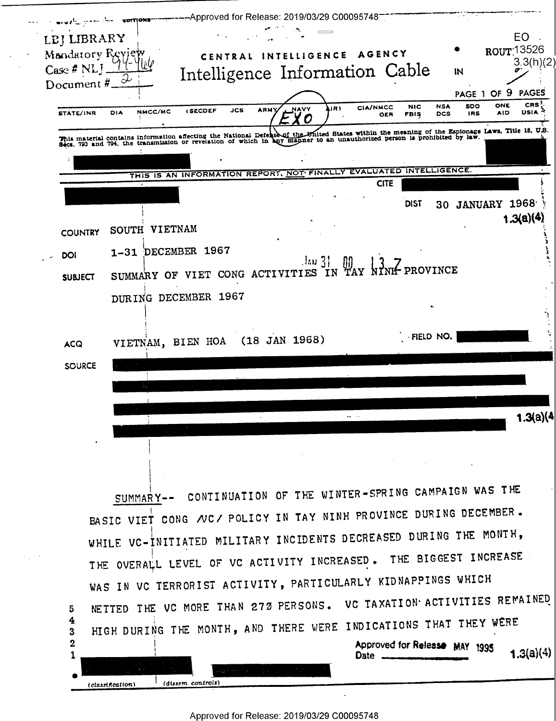--Approved for Release: 2019/03/29 C00095748<sup>---</sup> EPITIONS LEJ LIBRARY EO ROUT 13526 CENTRAL INTELLIGENCE AGENCY Mandatory Reviey  $3.3(h)(2)$  $Case *#* NL$ Intelligence Information Cable IN 2 Document# PAGE 1 OF 9 **PAGES CRS NSA SDO** ONE **NIC** (אוג **CIA/NMCC NAVY** USIA<sup>S</sup> **(SECDEF JCS ARMY** NMCC/MC **STATE/INR** DIA **DCS IRS** AID **FBIS** OER X C This material contains information affecting the National Defeasing the United States within the meaning of the Espionage Laws, Title 18, U.S.<br>Secs. 793 and 794, the transmission or revelation of which in any manner to an THIS IS AN INFORMATION REPORT, NOT FINALLY EVALUATED INTELLIGENCE. **CITE** 30 JANUARY 1968 **DIST**  $1.3(a)(4)$ SOUTH VIETNAM **COUNTRY** 1-31 DECEMBER 1967 DOI SUMMARY OF VIET CONG ACTIVITIES IN TAY NIME PROVINCE **SUBJECT** DURING DECEMBER 1967 FIELD NO.  $(18$  JAN  $1968)$ VIETNAM, BIEN HOA **ACQ SOURCE**  $1.3(a)(4)$ SUMMARY-- CONTINUATION OF THE WINTER-SPRING CAMPAIGN WAS THE BASIC VIET CONG NC/ POLICY IN TAY NINH PROVINCE DURING DECEMBER. WHILE VC-INITIATED MILITARY INCIDENTS DECREASED DURING THE MONTH, THE OVERALL LEVEL OF VC ACTIVITY INCREASED. THE BIGGEST INCREASE WAS IN VC TERRORIST ACTIVITY, PARTICULARLY KIDNAPPINGS WHICH NETTED THE VC MORE THAN 272 PERSONS. VC TAXATION ACTIVITIES REMAINED 5 4 HIGH DURING THE MONTH, AND THERE WERE INDICATIONS THAT THEY WERE 3 Approved for Release MAY 1995  $\mathbf{2}$  $1.3(a)(4)$ **Date** 1  $\frac{1}{(dissem\ controls)}$ (classification)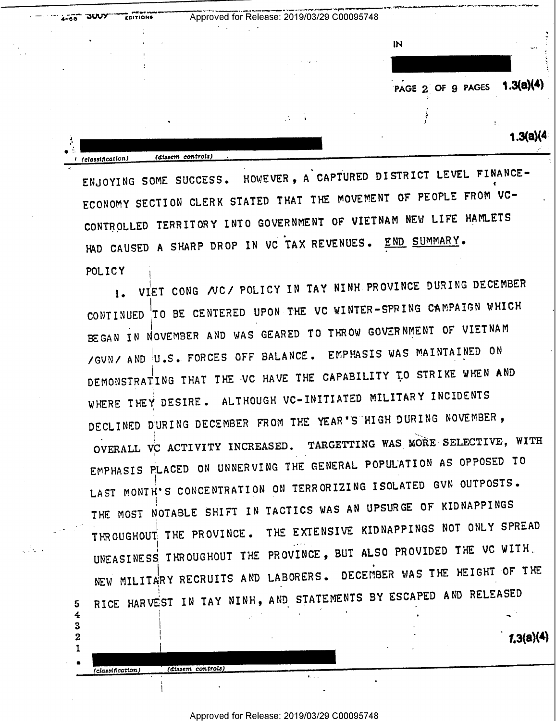**JUUY** Approved for Release: 2019/03/29 C00095748 EDITIONS  $4 - 66$  $\overline{\mathbf{N}}$ PAGE 2 OF 9 PAGES 1.3(a)(4)  $1.3(a)(4)$  $(dissem. controls)$ . (classification)

ENJOYING SOME SUCCESS. HOWEVER, A CAPTURED DISTRICT LEVEL FINANCE-ECONOMY SECTION CLERK STATED THAT THE MOVEMENT OF PEOPLE FROM VC-CONTROLLED TERRITORY INTO GOVERNMENT OF VIETNAM NEW LIFE HAMLETS HAD CAUSED A SHARP DROP IN VC TAX REVENUES. END SUMMARY. POLICY

VIET CONG NC/ POLICY IN TAY NINH PROVINCE DURING DECEMBER  $\mathbf{L}$ CONTINUED TO BE CENTERED UPON THE VC WINTER-SPRING CAMPAIGN WHICH BEGAN IN NOVEMBER AND WAS GEARED TO THROW GOVERNMENT OF VIETNAM /GUN/ AND U.S. FORCES OFF BALANCE. EMPHASIS WAS MAINTAINED ON DEMONSTRATING THAT THE VC HAVE THE CAPABILITY TO STRIKE WHEN AND WHERE THEY DESIRE. ALTHOUGH VC-INITIATED MILITARY INCIDENTS DECLINED DURING DECEMBER FROM THE YEAR'S HIGH DURING NOVEMBER, OVERALL VC ACTIVITY INCREASED. TARGETTING WAS MORE SELECTIVE, WITH EMPHASIS PLACED ON UNNERVING THE GENERAL POPULATION AS OPPOSED TO LAST MONTH'S CONCENTRATION ON TERRORIZING ISOLATED GVN OUTPOSTS. THE MOST NOTABLE SHIFT IN TACTICS WAS AN UPSURGE OF KIDNAPPINGS THE EXTENSIVE KIDNAPPINGS NOT ONLY SPREAD THROUGHOUT THE PROVINCE. UNEASINESS THROUGHOUT THE PROVINCE, BUT ALSO PROVIDED THE VC WITH NEW MILITARY RECRUITS AND LABORERS. DECEMBER WAS THE HEIGHT OF THE RICE HARVEST IN TAY NINH, AND STATEMENTS BY ESCAPED AND RELEASED

 $1.3(a)(4)$ 

(dissem controls)

5  $\overline{4}$  $\mathbf{3}$ 

 $\mathbf{2}$ 1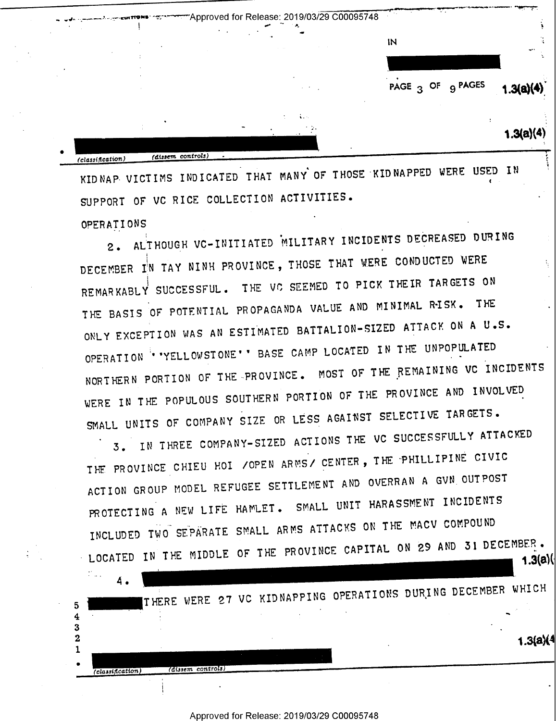"Approved for Release: 2019/03/29 C00095748 . 0  $\ddot{ }$ IN PAGE  $_3$  OF  $_9$  PAGES u  $\sim$   $\sim$   $\sim$   $\sim$ (classification) (dissem controls)  $1.3(a)(4)$  $1.3(a)(4)$ P1

KIDNAP VICTIMS INDICATED THAT MANY OF THOSE KIDNAPPED WERE USED IN SUPPORT OF VC RICE COLLECTION ACTIVITIES.

r 1

OPERATIONS '

2. ALTHOUGH VC-INITIATED MILITARY INCIDENTS DECREASED DURING DECEMBER IN TAY NINH PROVINCE, THOSE THAT WERE CONDUCTED WERE REMARKABLY SUCCESSFUL. THE VC SEEMED TO PICK THEIR TARGETS ON THE BASIS OF POTENTIAL PROPAGANDA VALUE AND MINIMAL RISK. THE ONLY EXCEPTION WAS AN ESTIMATED BATTALION-SIZED ATTACK ON A U.S. OPERATION "'YELLOWSTONE" BASE CAMP LOCATED IN THE UNPOPULATED NORTHERN PORTION OF THE PROVINCE. MOST OF THE REMAINING VC INCIDENTS WERE IN THE POPULOUS SOUTHERN PORTION OF THE PROVINCE AND INVOLVED SMALL UNITS OF COMPANY SIZE OR LESS AGAINST SELECTIVE TARGETS.

3. IN THREE COMPANY-SIZED ACTIONS THE VC SUCCESSFULLY ATTP SSFULLY ATTACKED THE PROVINCE CHIEU HOI / OPEN ARMS/ CENTER, THE PHILLIPINE CIVIC ACTION GROUP MODEL REFUGEE SETTLEMENT AND OVERRAN A GVN OUTPOST PROTECTING A NEW LIFE HAMLET. SMALL UNIT HARASSMENT INCIDENTS INCLUDED TWO SEPARATE SNALL ARNS ATTACKS ON THE NACV COMPOUND LOCATED IN THE MIDDLE OF THE PROVINCE CAPITAL ON 29 AND 31 DECEMBER. 1.3(a) $\langle$ 

4 THERE WERE 27 VC KIDNAPPING OPERATIONS DURING DECEMBER WHICH  $\ddot{\phantom{0}}$ 4 1 .3(a)(4  $\bf{2}$ 1  $\bullet$  $(classification)$   $(dissem controls)$ 

Approved for Release: 2019/03/29 C00095748

.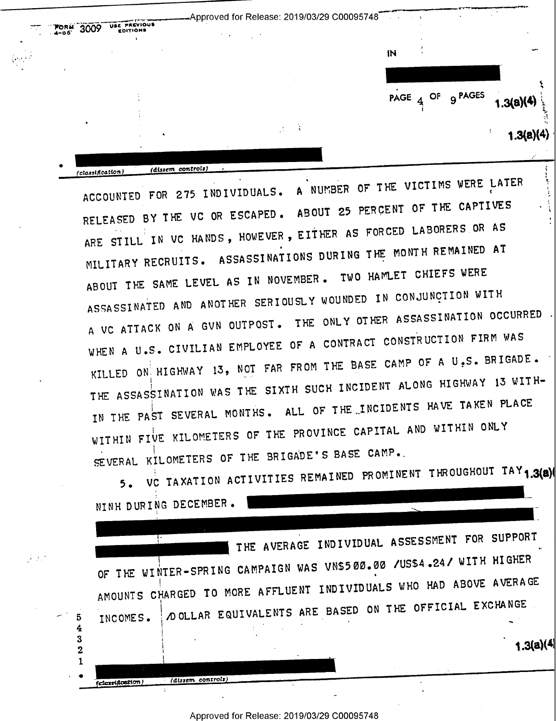-Approved for Release: 2019/03/29 C00095748 USE PREVIOUS 3009 **EDITIONS** IN. PAGE 4 OF 9 PAGES  $1.3(a)(4)$  $1.3(a)(4)$ (dissem controls) (classification)

ACCOUNTED FOR 275 INDIVIDUALS. A NUMBER OF THE VICTIMS WERE LATER RELEASED BY THE VC OR ESCAPED. ABOUT 25 PERCENT OF THE CAPTIVES ARE STILL IN VC HANDS, HOWEVER, EITHER AS FORCED LABORERS OR AS MILITARY RECRUITS. ASSASSINATIONS DURING THE MONTH REMAINED AT ABOUT THE SAME LEVEL AS IN NOVEMBER. TWO HAMLET CHIEFS WERE ASSASSINATED AND ANOTHER SERIOUSLY WOUNDED IN CONJUNCTION WITH A VC ATTACK ON A GVN OUTPOST. THE ONLY OTHER ASSASSINATION OCCURRED WHEN A U.S. CIVILIAN EMPLOYEE OF A CONTRACT CONSTRUCTION FIRM WAS KILLED ON HIGHWAY 13, NOT FAR FROM THE BASE CAMP OF A U.S. BRIGADE. THE ASSASSINATION WAS THE SIXTH SUCH INCIDENT ALONG HIGHWAY 13 WITH-IN THE PAST SEVERAL MONTHS. ALL OF THE INCIDENTS HAVE TAKEN PLACE WITHIN FIVE KILOMETERS OF THE PROVINCE CAPITAL AND WITHIN ONLY SEVERAL KILOMETERS OF THE BRIGADE'S BASE CAMP.

5. VC TAXATION ACTIVITIES REMAINED PROMINENT THROUGHOUT TAY 1.3(a) NINH DURING DECEMBER.

THE AVERAGE INDIVIDUAL ASSESSMENT FOR SUPPORT OF THE WINTER-SPRING CAMPAIGN WAS VN\$500.00 /US\$4.24/ WITH HIGHER AMOUNTS CHARGED TO MORE AFFLUENT INDIVIDUALS WHO HAD ABOVE AVERAGE DOLLAR EQUIVALENTS ARE BASED ON THE OFFICIAL EXCHANGE TNCOMES.

 $1.3(a)(4)$ 

(dissem controls)

 $\mathcal{F}^{\mathcal{A}}_{\mathcal{A}}$ 

5 4 3

> $\overline{2}$  $\mathbf{1}$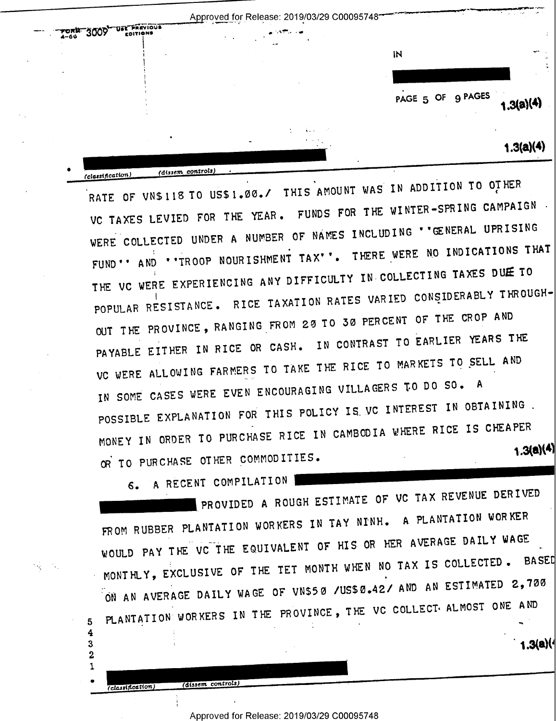| $T_{4-66}$ 3009 | DET PREVIOUS | <b>ALL STEP AND REA</b><br>$\sim$ $-$ .    |                   |           |
|-----------------|--------------|--------------------------------------------|-------------------|-----------|
|                 |              | $-$                                        | IN                | -⊷        |
|                 |              |                                            |                   | $\cdot$   |
|                 |              |                                            | PAGE 5 OF 9 PAGES | 1.3(a)(4) |
|                 |              | $\Delta \sim 0$<br>÷.<br><b>CONTRACTOR</b> |                   | 1.3(a)(4) |

RATE OF VN\$118 TO US\$1.00./ THIS AMOUNT WAS IN ADDITION TO OTHER VC TAXES LEVIED FOR THE YEAR. FUNDS FOR THE WINTER-SPRING CAMPAIGN. WERE COLLECTED UNDER A NUMBER OF NAMES INCLUDING ''GENERAL UPRISING FUND'' AND ''TROOP NOURISHMENT TAX''. THERE WERE NO INDICATIONS THAT THE VC WERE EXPERIENCING ANY DIFFICULTY IN COLLECTING TAXES DUE TO POPULAR RESISTANCE. RICE TAXATION RATES VARIED CONSIDERABLY THROUGH-OUT THE PROVINCE, RANGING FROM 20 TO 30 PERCENT OF THE CROP AND PAYABLE EITHER IN RICE OR CASH. IN CONTRAST TO EARLIER YEARS THE VC WERE ALLOWING FARMERS TO TAKE THE RICE TO MARKETS TO SELL AND IN SOME CASES WERE EVEN ENCOURAGING VILLAGERS TO DO SO. A POSSIBLE EXPLANATION FOR THIS POLICY IS VC INTEREST IN OBTAINING. MONEY IN ORDER TO PURCHASE RICE IN CAMBODIA WHERE RICE IS CHEAPER  $1.3(a)(4)$ OR TO PURCHASE OTHER COMMODITIES.

A RECENT COMPILATION  $6.$ 

(dissem controls)

(dissem controls)

(classification)

5  $\overline{\mathbf{4}}$ 

3  $\overline{2}$  $\mathbf{1}$ 

(classification)

PROVIDED A ROUGH ESTIMATE OF VC TAX REVENUE DERIVED FROM RUBBER PLANTATION WORKERS IN TAY NINH. A PLANTATION WORKER WOULD PAY THE VC THE EQUIVALENT OF HIS OR HER AVERAGE DAILY WAGE MONTHLY, EXCLUSIVE OF THE TET MONTH WHEN NO TAX IS COLLECTED. BASED ON AN AVERAGE DAILY WAGE OF VN\$50 /US\$0.42/ AND AN ESTIMATED 2,700 PLANTATION WORKERS IN THE PROVINCE, THE VC COLLECT. ALMOST ONE AND

 $1.3(a)(1)$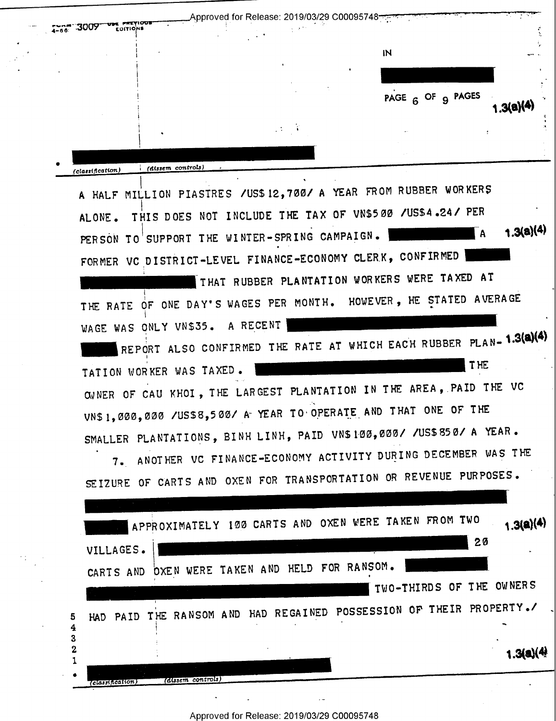| :3009<br>$4 - 66$          | EDITIONS          |                                                                                                            |                                                                                                                                   |           |
|----------------------------|-------------------|------------------------------------------------------------------------------------------------------------|-----------------------------------------------------------------------------------------------------------------------------------|-----------|
|                            |                   |                                                                                                            | IN                                                                                                                                |           |
|                            |                   |                                                                                                            |                                                                                                                                   |           |
|                            |                   |                                                                                                            | PAGE 6 OF 9 PAGES                                                                                                                 | 1.3(B)(*) |
|                            |                   | $\mathcal{A} \subset \mathcal{A}$                                                                          |                                                                                                                                   |           |
|                            |                   |                                                                                                            |                                                                                                                                   |           |
| (classification)<br>ALONE. | (dissem controls) | PERSON TO SUPPORT THE WINTER-SPRING CAMPAIGN.<br>FORMER VC DISTRICT-LEVEL FINANCE-ECONOMY CLERK, CONFIRMED | A HALF MILLION PIASTRES /US\$12,700/ A YEAR FROM RUBBER WORKERS<br>THIS DOES NOT INCLUDE THE TAX OF VN\$500 /US\$4.24/ PER<br>∣ A | 1.3(a)(4) |

THE RATE OF ONE DAY'S WAGES PER MONTH. HOWEVER, HE STATED AVERAGE WAGE WAS ONLY VN\$35. A RECENT REPORT ALSO CONFIRMED THE RATE AT WHICH EACH RUBBER PLAN- 1.3(a)(4)

THE TATION WORKER WAS TAXED. OWNER OF CAU KHOI, THE LARGEST PLANTATION IN THE AREA, PAID THE VC VN\$1,000,000 /US\$8,500/ A YEAR TO OPERATE AND THAT ONE OF THE SMALLER PLANTATIONS, BINH LINH, PAID VN\$100,000/ /US\$850/ A YEAR.

7. ANOTHER VC FINANCE-ECONOMY ACTIVITY DURING DECEMBER WAS THE SEIZURE OF CARTS AND OXEN FOR TRANSPORTATION OR REVENUE PURPOSES.

|                   |                 |                   |  | APPROXIMATELY 100 CARTS AND OXEN WERE TAKEN FROM TWO       |  |    | 1.3(a)(4)                |
|-------------------|-----------------|-------------------|--|------------------------------------------------------------|--|----|--------------------------|
|                   | VILLAGES.       |                   |  |                                                            |  | 20 |                          |
|                   | CARTS AND       |                   |  | DXEN WERE TAKEN AND HELD FOR RANSOM.                       |  |    | TWO-THIRDS OF THE OWNERS |
| 5                 | PAID            |                   |  | THE RANSOM AND HAD REGAINED POSSESSION OF THEIR PROPERTY./ |  |    |                          |
| 4<br>3            | <b>HAD</b>      |                   |  |                                                            |  |    |                          |
| $\mathbf{2}$<br>1 |                 |                   |  |                                                            |  |    | 1.3(4)(4)                |
| ø                 | classification) | (dissem controls) |  |                                                            |  |    |                          |

Approved for Release: 2019/03/29 C00095748

5  $\boldsymbol{4}$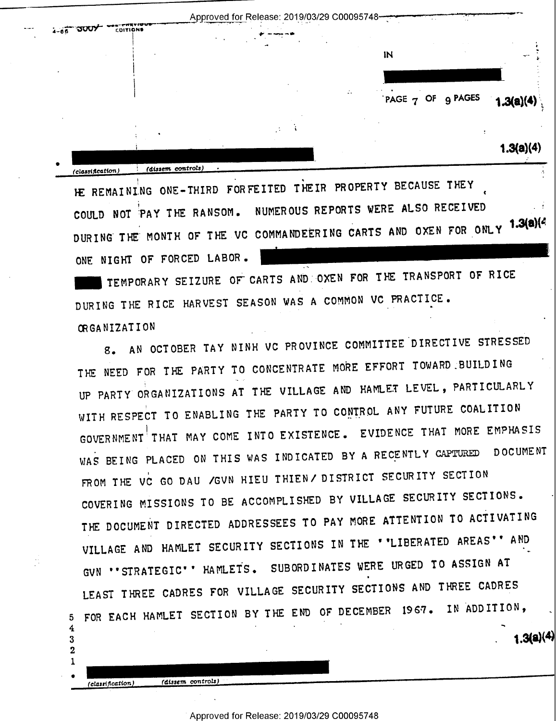

HE REMAINING ONE-THIRD FORFEITED THEIR PROPERTY BECAUSE THEY COULD NOT PAY THE RANSOM. NUMEROUS REPORTS WERE ALSO RECEIVED DURING THE MONTH OF THE VC COMMANDEERING CARTS AND OXEN FOR ONLY 1.3(a)(4 ONE NIGHT OF FORCED LABOR.

TEMPORARY SEIZURE OF CARTS AND OXEN FOR THE TRANSPORT OF RICE DURING THE RICE HARVEST SEASON WAS A COMMON VC PRACTICE. **ORGANIZATION** 

8. AN OCTOBER TAY NINH VC PROVINCE COMMITTEE DIRECTIVE STRESSED THE NEED FOR THE PARTY TO CONCENTRATE MORE EFFORT TOWARD BUILDING UP PARTY ORGANIZATIONS AT THE VILLAGE AND HAMLET LEVEL, PARTICULARLY WITH RESPECT TO ENABLING THE PARTY TO CONTROL ANY FUTURE COALITION GOVERNMENT THAT MAY COME INTO EXISTENCE. EVIDENCE THAT MORE EMPHASIS WAS BEING PLACED ON THIS WAS INDICATED BY A RECENTLY CAPTURED DOCUMENT FROM THE VC GO DAU / GVN HIEU THIEN/ DISTRICT SECURITY SECTION COVERING MISSIONS TO BE ACCOMPLISHED BY VILLAGE SECURITY SECTIONS. THE DOCUMENT DIRECTED ADDRESSEES TO PAY MORE ATTENTION TO ACTIVATING VILLAGE AND HAMLET SECURITY SECTIONS IN THE ''LIBERATED AREAS'' AND GVN "STRATEGIC" " HAMLETS. SUBORDINATES WERE URGED TO ASSIGN AT LEAST THREE CADRES FOR VILLAGE SECURITY SECTIONS AND THREE CADRES 5 FOR EACH HAMLET SECTION BY THE END OF DECEMBER 1967. IN ADDITION,  $1.3(a)(4)$ 

Approved for Release: 2019/03/29 C00095748

(dissem controls)

4

3  $\mathbf{2}$ 1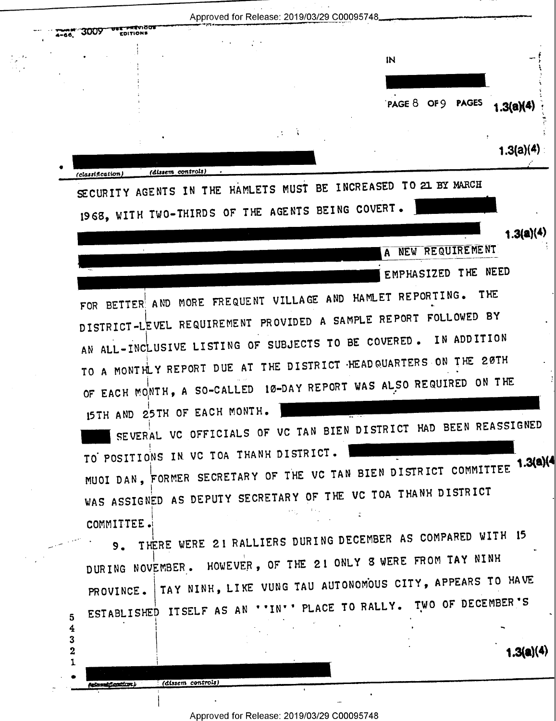Approved for Release: 2019/03/29 C00095748 **3009** IN PAGE 8 OF 9 PAGES  $1.3(a)(4)$  $1.3(a)(4)$ (dissem controls) (classification) SECURITY AGENTS IN THE HAMLETS MUST BE INCREASED TO 21 BY MARCH 1968, WITH TWO-THIRDS OF THE AGENTS BEING COVERT.  $1.3(a)(4)$ A NEW REQUIREMENT EMPHASIZED THE NEED FOR BETTER AND MORE FREQUENT VILLAGE AND HAMLET REPORTING. THE DISTRICT-LEVEL REQUIREMENT PROVIDED A SAMPLE REPORT FOLLOWED BY AN ALL-INCLUSIVE LISTING OF SUBJECTS TO BE COVERED. IN ADDITION TO A MONTHLY REPORT DUE AT THE DISTRICT HEADQUARTERS ON THE 20TH OF EACH MONTH, A SO-CALLED 10-DAY REPORT WAS ALSO REQUIRED ON THE 15TH AND 25TH OF EACH MONTH. SEVERAL VC OFFICIALS OF VC TAN BIEN DISTRICT HAD BEEN REASSIGNED TO POSITIONS IN VC TOA THANH DISTRICT. MUOI DAN, FORMER SECRETARY OF THE VC TAN BIEN DISTRICT COMMITTEE 1.3(a)(4) WAS ASSIGNED AS DEPUTY SECRETARY OF THE VC TOA THANH DISTRICT **COMMITTEE.** THERE WERE 21 RALLIERS DURING DECEMBER AS COMPARED WITH 15  $9.$ DURING NOVEMBER. HOWEVER, OF THE 21 ONLY 8 WERE FROM TAY NINH PROVINCE. | TAY NINH, LIKE VUNG TAU AUTONOMOUS CITY, APPEARS TO HAVE ESTABLISHED ITSELF AS AN ''IN'' PLACE TO RALLY. TWO OF DECEMBER'S  $5\phantom{.0}$ 4 3  $\overline{\mathbf{2}}$  $1.3(a)(4)$ 1 (dissem controls) i fontiar k